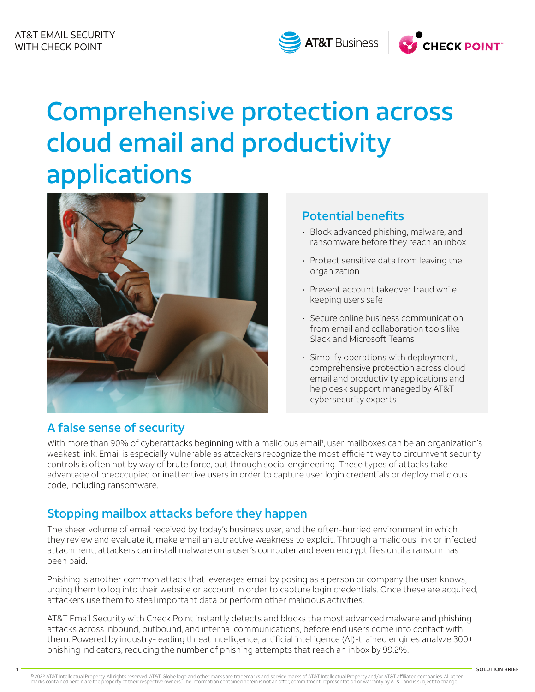



# Comprehensive protection across cloud email and productivity applications



## Potential benefits

- Block advanced phishing, malware, and ransomware before they reach an inbox
- Protect sensitive data from leaving the organization
- Prevent account takeover fraud while keeping users safe
- Secure online business communication from email and collaboration tools like Slack and Microsoft Teams
- Simplify operations with deployment, comprehensive protection across cloud email and productivity applications and help desk support managed by AT&T cybersecurity experts

## A false sense of security

With more than 90% of cyberattacks beginning with a malicious email<sup>1</sup>, user mailboxes can be an organization's weakest link. Email is especially vulnerable as attackers recognize the most efficient way to circumvent security controls is often not by way of brute force, but through social engineering. These types of attacks take advantage of preoccupied or inattentive users in order to capture user login credentials or deploy malicious code, including ransomware.

## Stopping mailbox attacks before they happen

The sheer volume of email received by today's business user, and the often-hurried environment in which they review and evaluate it, make email an attractive weakness to exploit. Through a malicious link or infected attachment, attackers can install malware on a user's computer and even encrypt files until a ransom has been paid.

Phishing is another common attack that leverages email by posing as a person or company the user knows, urging them to log into their website or account in order to capture login credentials. Once these are acquired, attackers use them to steal important data or perform other malicious activities.

AT&T Email Security with Check Point instantly detects and blocks the most advanced malware and phishing attacks across inbound, outbound, and internal communications, before end users come into contact with them. Powered by industry-leading threat intelligence, artificial intelligence (AI)-trained engines analyze 300+ phishing indicators, reducing the number of phishing attempts that reach an inbox by 99.2%.